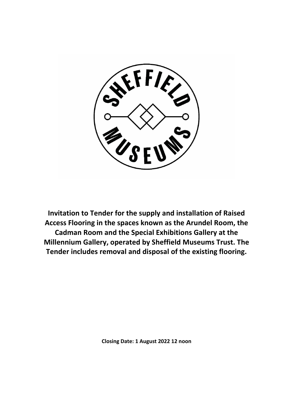

**Invitation to Tender for the supply and installation of Raised Access Flooring in the spaces known as the Arundel Room, the Cadman Room and the Special Exhibitions Gallery at the Millennium Gallery, operated by Sheffield Museums Trust. The Tender includes removal and disposal of the existing flooring.**

**Closing Date: 1 August 2022 12 noon**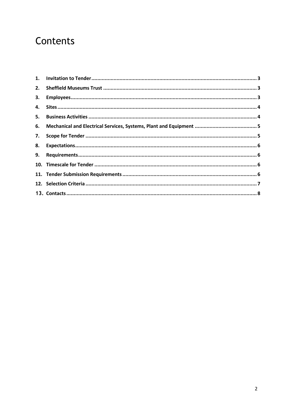# Contents

| 8. |  |
|----|--|
|    |  |
|    |  |
|    |  |
|    |  |
|    |  |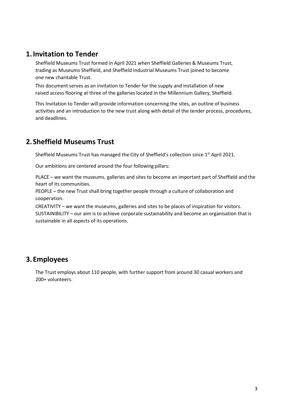## <span id="page-2-0"></span>**1.Invitation to Tender**

Sheffield Museums Trust formed in April 2021 when Sheffield Galleries & Museums Trust, trading as Museums Sheffield, and Sheffield Industrial Museums Trust joined to become one new charitable Trust.

This document serves as an invitation to Tender for the supply and installation of new raised access flooring at three of the galleries located in the Millennium Gallery, Sheffield.

This Invitation to Tender will provide information concerning the sites, an outline of business activities and an introduction to the new trust along with detail of the tender process, procedures, and deadlines.

# <span id="page-2-1"></span>**2.Sheffield Museums Trust**

Sheffield Museums Trust has managed the City of Sheffield's collection since  $1^\mathrm{st}$  April 2021.

Our ambitions are centered around the four following pillars:

PLACE – we want the museums, galleries and sites to become an important part of Sheffield and the heart of its communities.

PEOPLE – the new Trust shall bring together people through a culture of collaboration and cooperation.

CREATIVITY – we want the museums, galleries and sites to be places of inspiration for visitors. SUSTAINIBILITY – our aim is to achieve corporate sustainability and become an organisation that is sustainable in all aspects of its operations.

## <span id="page-2-2"></span>**3.Employees**

The Trust employs about 110 people, with further support from around 30 casual workers and 200+ volunteers.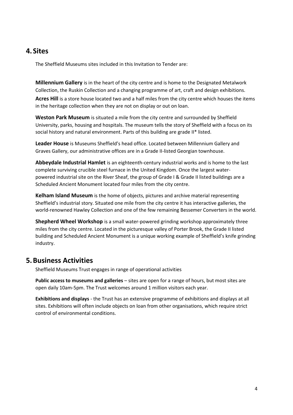### <span id="page-3-0"></span>**4.Sites**

The Sheffield Museums sites included in this Invitation to Tender are:

**Millennium Gallery** is in the heart of the city centre and is home to the Designated Metalwork Collection, the Ruskin Collection and a changing programme of art, craft and design exhibitions. **Acres Hill** is a store house located two and a half miles from the city centre which houses the items in the heritage collection when they are not on display or out on loan.

**Weston Park Museum** is situated a mile from the city centre and surrounded by Sheffield University, parks, housing and hospitals. The museum tells the story of Sheffield with a focus on its social history and natural environment. Parts of this building are grade II\* listed.

**Leader House** is Museums Sheffield's head office. Located between Millennium Gallery and Graves Gallery, our administrative offices are in a Grade II-listed Georgian townhouse.

**Abbeydale Industrial Hamlet** is an eighteenth-century industrial works and is home to the last complete surviving crucible steel furnace in the United Kingdom. Once the largest waterpowered industrial site on the River Sheaf, the group of Grade I & Grade II listed buildings are a Scheduled Ancient Monument located four miles from the city centre.

**Kelham Island Museum** is the home of objects, pictures and archive material representing Sheffield's industrial story. Situated one mile from the city centre it has interactive galleries, the world-renowned Hawley Collection and one of the few remaining Bessemer Converters in the world.

**Shepherd Wheel Workshop** is a small water-powered grinding workshop approximately three miles from the city centre. Located in the picturesque valley of Porter Brook, the Grade II listed building and Scheduled Ancient Monument is a unique working example of Sheffield's knife grinding industry.

#### <span id="page-3-1"></span>**5.Business Activities**

Sheffield Museums Trust engages in range of operational activities

**Public access to museums and galleries** – sites are open for a range of hours, but most sites are open daily 10am-5pm. The Trust welcomes around 1 million visitors each year.

**Exhibitions and displays** - the Trust has an extensive programme of exhibitions and displays at all sites. Exhibitions will often include objects on loan from other organisations, which require strict control of environmental conditions.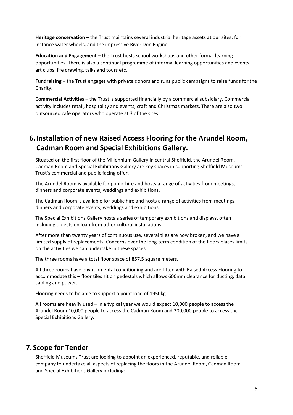**Heritage conservation** – the Trust maintains several industrial heritage assets at our sites, for instance water wheels, and the impressive River Don Engine.

**Education and Engagement –** the Trust hosts school workshops and other formal learning opportunities. There is also a continual programme of informal learning opportunities and events – art clubs, life drawing, talks and tours etc.

**Fundraising –** the Trust engages with private donors and runs public campaigns to raise funds for the Charity.

**Commercial Activities** – the Trust is supported financially by a commercial subsidiary. Commercial activity includes retail, hospitality and events, craft and Christmas markets. There are also two outsourced café operators who operate at 3 of the sites.

# **6.Installation of new Raised Access Flooring for the Arundel Room, Cadman Room and Special Exhibitions Gallery.**

Situated on the first floor of the Millennium Gallery in central Sheffield, the Arundel Room, Cadman Room and Special Exhibitions Gallery are key spaces in supporting Sheffield Museums Trust's commercial and public facing offer.

The Arundel Room is available for public hire and hosts a range of activities from meetings, dinners and corporate events, weddings and exhibitions.

The Cadman Room is available for public hire and hosts a range of activities from meetings, dinners and corporate events, weddings and exhibitions.

The Special Exhibitions Gallery hosts a series of temporary exhibitions and displays, often including objects on loan from other cultural installations.

After more than twenty years of continuous use, several tiles are now broken, and we have a limited supply of replacements. Concerns over the long-term condition of the floors places limits on the activities we can undertake in these spaces

The three rooms have a total floor space of 857.5 square meters.

All three rooms have environmental conditioning and are fitted with Raised Access Flooring to accommodate this – floor tiles sit on pedestals which allows 600mm clearance for ducting, data cabling and power.

Flooring needs to be able to support a point load of 1950kg

All rooms are heavily used – in a typical year we would expect 10,000 people to access the Arundel Room 10,000 people to access the Cadman Room and 200,000 people to access the Special Exhibitions Gallery.

#### <span id="page-4-0"></span>**7.Scope for Tender**

Sheffield Museums Trust are looking to appoint an experienced, reputable, and reliable company to undertake all aspects of replacing the floors in the Arundel Room, Cadman Room and Special Exhibitions Gallery including: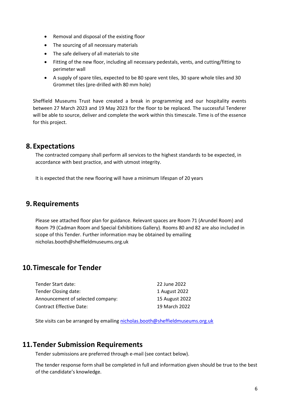- Removal and disposal of the existing floor
- The sourcing of all necessary materials
- The safe delivery of all materials to site
- Fitting of the new floor, including all necessary pedestals, vents, and cutting/fitting to perimeter wall
- A supply of spare tiles, expected to be 80 spare vent tiles, 30 spare whole tiles and 30 Grommet tiles (pre-drilled with 80 mm hole)

Sheffield Museums Trust have created a break in programming and our hospitality events between 27 March 2023 and 19 May 2023 for the floor to be replaced. The successful Tenderer will be able to source, deliver and complete the work within this timescale. Time is of the essence for this project.

#### <span id="page-5-0"></span>**8.Expectations**

The contracted company shall perform all services to the highest standards to be expected, in accordance with best practice, and with utmost integrity.

It is expected that the new flooring will have a minimum lifespan of 20 years

#### <span id="page-5-1"></span>**9.Requirements**

Please see attached floor plan for guidance. Relevant spaces are Room 71 (Arundel Room) and Room 79 (Cadman Room and Special Exhibitions Gallery). Rooms 80 and 82 are also included in scope of this Tender. Further information may be obtained by emailing nicholas.booth@sheffieldmuseums.org.uk

## <span id="page-5-2"></span>**10.Timescale for Tender**

| 22 June 2022   |
|----------------|
| 1 August 2022  |
| 15 August 2022 |
| 19 March 2022  |
|                |

Site visits can be arranged by emailin[g nicholas.booth@sheffieldmuseums.org.uk](mailto:nicholas.booth@sheffieldmuseums.org.uk)

#### <span id="page-5-3"></span>**11.Tender Submission Requirements**

Tender submissions are preferred through e-mail (see contact below).

The tender response form shall be completed in full and information given should be true to the best of the candidate's knowledge.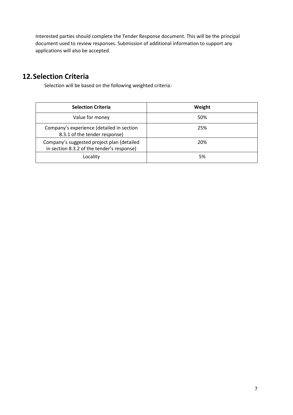Interested parties should complete the Tender Response document. This will be the principal document used to review responses. Submission of additional information to support any applications will also be accepted.

# <span id="page-6-0"></span>**12.Selection Criteria**

Selection will be based on the following weighted criteria:

| <b>Selection Criteria</b>                                                                | Weight |
|------------------------------------------------------------------------------------------|--------|
| Value for money                                                                          | 50%    |
| Company's experience (detailed in section<br>8.3.1 of the tender response)               | 25%    |
| Company's suggested project plan (detailed<br>in section 8.3.2 of the tender's response) | 20%    |
| Locality                                                                                 | 5%     |